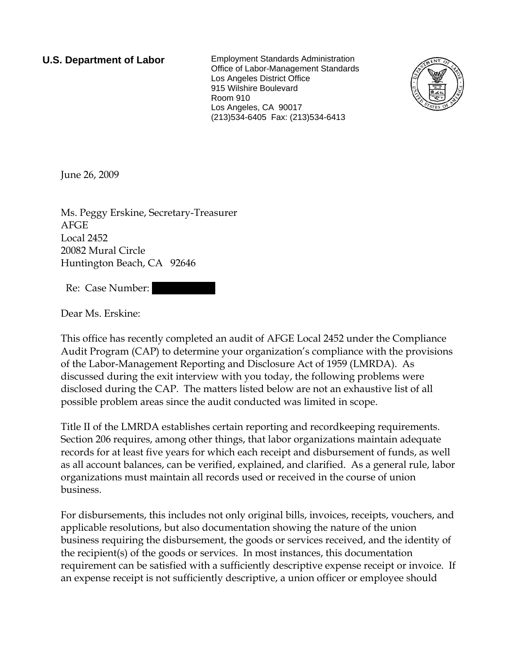**U.S. Department of Labor** Employment Standards Administration Office of Labor-Management Standards Los Angeles District Office 915 Wilshire Boulevard Room 910 Los Angeles, CA 90017 (213)534-6405 Fax: (213)534-6413



June 26, 2009

Ms. Peggy Erskine, Secretary-Treasurer AFGE Local 2452 20082 Mural Circle Huntington Beach, CA 92646

Re: Case Number:

Dear Ms. Erskine:

This office has recently completed an audit of AFGE Local 2452 under the Compliance Audit Program (CAP) to determine your organization's compliance with the provisions of the Labor-Management Reporting and Disclosure Act of 1959 (LMRDA). As discussed during the exit interview with you today, the following problems were disclosed during the CAP. The matters listed below are not an exhaustive list of all possible problem areas since the audit conducted was limited in scope.

Title II of the LMRDA establishes certain reporting and recordkeeping requirements. Section 206 requires, among other things, that labor organizations maintain adequate records for at least five years for which each receipt and disbursement of funds, as well as all account balances, can be verified, explained, and clarified. As a general rule, labor organizations must maintain all records used or received in the course of union business.

For disbursements, this includes not only original bills, invoices, receipts, vouchers, and applicable resolutions, but also documentation showing the nature of the union business requiring the disbursement, the goods or services received, and the identity of the recipient(s) of the goods or services. In most instances, this documentation requirement can be satisfied with a sufficiently descriptive expense receipt or invoice. If an expense receipt is not sufficiently descriptive, a union officer or employee should